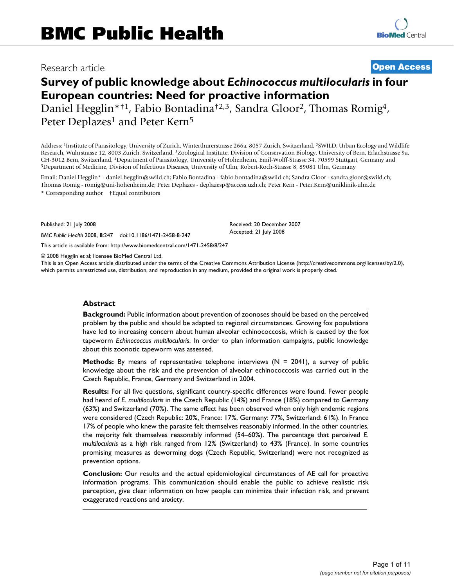# Research article **[Open Access](http://www.biomedcentral.com/info/about/charter/)**

# **Survey of public knowledge about** *Echinococcus multilocularis* **in four European countries: Need for proactive information**

Daniel Hegglin\*†1, Fabio Bontadina†2,3, Sandra Gloor2, Thomas Romig4, Peter Deplazes<sup>1</sup> and Peter Kern<sup>5</sup>

Address: 1Institute of Parasitology, University of Zurich, Winterthurerstrasse 266a, 8057 Zurich, Switzerland, 2SWILD, Urban Ecology and Wildlife Research, Wuhrstrasse 12, 8003 Zurich, Switzerland, 3Zoological Institute, Division of Conservation Biology, University of Bern, Erlachstrasse 9a, CH-3012 Bern, Switzerland, <sup>4</sup>Department of Parasitology, University of Hohenheim, Emil-Wolff-Strasse 34, 70599 Stuttgart, Germany and<br><sup>5</sup>Department of Medicine, Division of Infectious Diseases, University of Ulm, Robert-K

Email: Daniel Hegglin\* - daniel.hegglin@swild.ch; Fabio Bontadina - fabio.bontadina@swild.ch; Sandra Gloor - sandra.gloor@swild.ch; Thomas Romig - romig@uni-hohenheim.de; Peter Deplazes - deplazesp@access.uzh.ch; Peter Kern - Peter.Kern@uniklinik-ulm.de \* Corresponding author †Equal contributors

Published: 21 July 2008

*BMC Public Health* 2008, **8**:247 doi:10.1186/1471-2458-8-247

[This article is available from: http://www.biomedcentral.com/1471-2458/8/247](http://www.biomedcentral.com/1471-2458/8/247)

© 2008 Hegglin et al; licensee BioMed Central Ltd.

This is an Open Access article distributed under the terms of the Creative Commons Attribution License [\(http://creativecommons.org/licenses/by/2.0\)](http://creativecommons.org/licenses/by/2.0), which permits unrestricted use, distribution, and reproduction in any medium, provided the original work is properly cited.

Received: 20 December 2007 Accepted: 21 July 2008

#### **Abstract**

**Background:** Public information about prevention of zoonoses should be based on the perceived problem by the public and should be adapted to regional circumstances. Growing fox populations have led to increasing concern about human alveolar echinococcosis, which is caused by the fox tapeworm *Echinococcus multilocularis*. In order to plan information campaigns, public knowledge about this zoonotic tapeworm was assessed.

**Methods:** By means of representative telephone interviews (N = 2041), a survey of public knowledge about the risk and the prevention of alveolar echinococcosis was carried out in the Czech Republic, France, Germany and Switzerland in 2004.

**Results:** For all five questions, significant country-specific differences were found. Fewer people had heard of *E. multilocularis* in the Czech Republic (14%) and France (18%) compared to Germany (63%) and Switzerland (70%). The same effect has been observed when only high endemic regions were considered (Czech Republic: 20%, France: 17%, Germany: 77%, Switzerland: 61%). In France 17% of people who knew the parasite felt themselves reasonably informed. In the other countries, the majority felt themselves reasonably informed (54–60%). The percentage that perceived *E. multilocularis* as a high risk ranged from 12% (Switzerland) to 43% (France). In some countries promising measures as deworming dogs (Czech Republic, Switzerland) were not recognized as prevention options.

**Conclusion:** Our results and the actual epidemiological circumstances of AE call for proactive information programs. This communication should enable the public to achieve realistic risk perception, give clear information on how people can minimize their infection risk, and prevent exaggerated reactions and anxiety.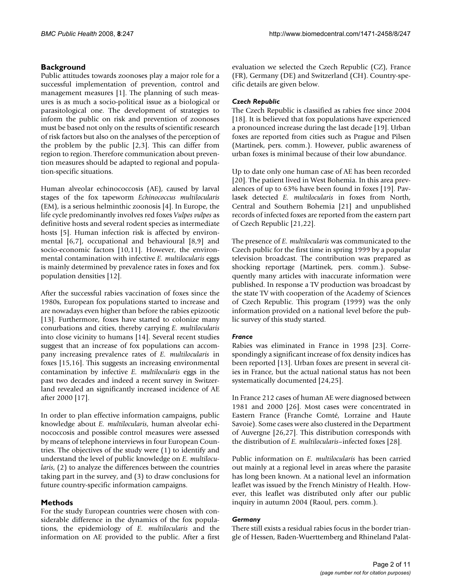# **Background**

Public attitudes towards zoonoses play a major role for a successful implementation of prevention, control and management measures [1]. The planning of such measures is as much a socio-political issue as a biological or parasitological one. The development of strategies to inform the public on risk and prevention of zoonoses must be based not only on the results of scientific research of risk factors but also on the analyses of the perception of the problem by the public [2,3]. This can differ from region to region. Therefore communication about prevention measures should be adapted to regional and population-specific situations.

Human alveolar echinococcosis (AE), caused by larval stages of the fox tapeworm *Echinococcus multilocularis* (EM), is a serious helminthic zoonosis [4]. In Europe, the life cycle predominantly involves red foxes *Vulpes vulpes* as definitive hosts and several rodent species as intermediate hosts [5]. Human infection risk is affected by environmental [6[,7\]](#page-9-0), occupational and behavioural [8,9] and socio-economic factors [10,11]. However, the environmental contamination with infective *E. multilocularis* eggs is mainly determined by prevalence rates in foxes and fox population densities [12].

After the successful rabies vaccination of foxes since the 1980s, European fox populations started to increase and are nowadays even higher than before the rabies epizootic [13]. Furthermore, foxes have started to colonize many conurbations and cities, thereby carrying *E. multilocularis* into close vicinity to humans [14]. Several recent studies suggest that an increase of fox populations can accompany increasing prevalence rates of *E. multilocularis* in foxes [15,16]. This suggests an increasing environmental contamination by infective *E. multilocularis* eggs in the past two decades and indeed a recent survey in Switzerland revealed an significantly increased incidence of AE after 2000 [17].

In order to plan effective information campaigns, public knowledge about *E. multilocularis*, human alveolar echinococcosis and possible control measures were assessed by means of telephone interviews in four European Countries. The objectives of the study were (1) to identify and understand the level of public knowledge on *E. multilocularis*, (2) to analyze the differences between the countries taking part in the survey, and (3) to draw conclusions for future country-specific information campaigns.

# **Methods**

For the study European countries were chosen with considerable difference in the dynamics of the fox populations, the epidemiology of *E. multilocularis* and the information on AE provided to the public. After a first

evaluation we selected the Czech Republic (CZ), France (FR), Germany (DE) and Switzerland (CH). Country-specific details are given below.

# *Czech Republic*

The Czech Republic is classified as rabies free since 2004 [18]. It is believed that fox populations have experienced a pronounced increase during the last decade [[19\]](#page-10-0). Urban foxes are reported from cities such as Prague and Pilsen (Martinek, pers. comm.). However, public awareness of urban foxes is minimal because of their low abundance.

Up to date only one human case of AE has been recorded [20]. The patient lived in West Bohemia. In this area prevalences of up to 63% have been found in foxes [[19](#page-10-0)]. Pavlasek detected *E. multilocularis* in foxes from North, Central and Southern Bohemia [21] and unpublished records of infected foxes are reported from the eastern part of Czech Republic [21,22].

The presence of *E. multilocularis* was communicated to the Czech public for the first time in spring 1999 by a popular television broadcast. The contribution was prepared as shocking reportage (Martinek, pers. comm.). Subsequently many articles with inaccurate information were published. In response a TV production was broadcast by the state TV with cooperation of the Academy of Sciences of Czech Republic. This program (1999) was the only information provided on a national level before the public survey of this study started.

# *France*

Rabies was eliminated in France in 1998 [23]. Correspondingly a significant increase of fox density indices has been reported [13]. Urban foxes are present in several cities in France, but the actual national status has not been systematically documented [24,25].

In France 212 cases of human AE were diagnosed between 1981 and 2000 [26]. Most cases were concentrated in Eastern France (Franche Comté, Lorraine and Haute Savoie). Some cases were also clustered in the Department of Auvergne [26,27]. This distribution corresponds with the distribution of *E. multilocularis*–infected foxes [28].

Public information on *E. multilocularis* has been carried out mainly at a regional level in areas where the parasite has long been known. At a national level an information leaflet was issued by the French Ministry of Health. However, this leaflet was distributed only after our public inquiry in autumn 2004 (Raoul, pers. comm.).

# *Germany*

There still exists a residual rabies focus in the border triangle of Hessen, Baden-Wuerttemberg and Rhineland Palat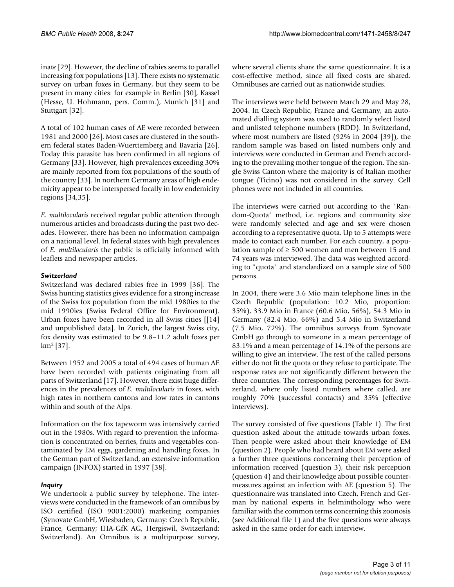inate [29]. However, the decline of rabies seems to parallel increasing fox populations [13]. There exists no systematic survey on urban foxes in Germany, but they seem to be present in many cities: for example in Berlin [30], Kassel (Hesse, U. Hohmann, pers. Comm.), Munich [31] and Stuttgart [32].

A total of 102 human cases of AE were recorded between 1981 and 2000 [26]. Most cases are clustered in the southern federal states Baden-Wuerttemberg and Bavaria [26]. Today this parasite has been confirmed in all regions of Germany [33]. However, high prevalences exceeding 30% are mainly reported from fox populations of the south of the country [33]. In northern Germany areas of high endemicity appear to be interspersed focally in low endemicity regions [34,35].

*E. multilocularis* received regular public attention through numerous articles and broadcasts during the past two decades. However, there has been no information campaign on a national level. In federal states with high prevalences of *E. multilocularis* the public is officially informed with leaflets and newspaper articles.

# *Switzerland*

Switzerland was declared rabies free in 1999 [36]. The Swiss hunting statistics gives evidence for a strong increase of the Swiss fox population from the mid 1980ies to the mid 1990ies (Swiss Federal Office for Environment). Urban foxes have been recorded in all Swiss cities [[14] and unpublished data]. In Zurich, the largest Swiss city, fox density was estimated to be 9.8–11.2 adult foxes per km2 [37].

Between 1952 and 2005 a total of 494 cases of human AE have been recorded with patients originating from all parts of Switzerland [17]. However, there exist huge differences in the prevalences of *E. multilocularis* in foxes, with high rates in northern cantons and low rates in cantons within and south of the Alps.

Information on the fox tapeworm was intensively carried out in the 1980s. With regard to prevention the information is concentrated on berries, fruits and vegetables contaminated by EM eggs, gardening and handling foxes. In the German part of Switzerland, an extensive information campaign (INFOX) started in 1997 [38].

# *Inquiry*

We undertook a public survey by telephone. The interviews were conducted in the framework of an omnibus by ISO certified (ISO 9001:2000) marketing companies (Synovate GmbH, Wiesbaden, Germany: Czech Republic, France, Germany; IHA-GfK AG, Hergiswil, Switzerland: Switzerland). An Omnibus is a multipurpose survey,

where several clients share the same questionnaire. It is a cost-effective method, since all fixed costs are shared. Omnibuses are carried out as nationwide studies.

The interviews were held between March 29 and May 28, 2004. In Czech Republic, France and Germany, an automated dialling system was used to randomly select listed and unlisted telephone numbers (RDD). In Switzerland, where most numbers are listed (92% in 2004 [39]), the random sample was based on listed numbers only and interviews were conducted in German and French according to the prevailing mother tongue of the region. The single Swiss Canton where the majority is of Italian mother tongue (Ticino) was not considered in the survey. Cell phones were not included in all countries.

The interviews were carried out according to the "Random-Quota" method, i.e. regions and community size were randomly selected and age and sex were chosen according to a representative quota. Up to 5 attempts were made to contact each number. For each country, a population sample of  $\geq 500$  women and men between 15 and 74 years was interviewed. The data was weighted according to "quota" and standardized on a sample size of 500 persons.

In 2004, there were 3.6 Mio main telephone lines in the Czech Republic (population: 10.2 Mio, proportion: 35%), 33.9 Mio in France (60.6 Mio, 56%), 54.3 Mio in Germany (82.4 Mio, 66%) and 5.4 Mio in Switzerland (7.5 Mio, 72%). The omnibus surveys from Synovate GmbH go through to someone in a mean percentage of 83.1% and a mean percentage of 14.1% of the persons are willing to give an interview. The rest of the called persons either do not fit the quota or they refuse to participate. The response rates are not significantly different between the three countries. The corresponding percentages for Switzerland, where only listed numbers where called, are roughly 70% (successful contacts) and 35% (effective interviews).

The survey consisted of five questions (Table 1). The first question asked about the attitude towards urban foxes. Then people were asked about their knowledge of EM (question 2). People who had heard about EM were asked a further three questions concerning their perception of information received (question 3), their risk perception (question 4) and their knowledge about possible countermeasures against an infection with AE (question 5). The questionnaire was translated into Czech, French and German by national experts in helminthology who were familiar with the common terms concerning this zoonosis (see Additional file 1) and the five questions were always asked in the same order for each interview.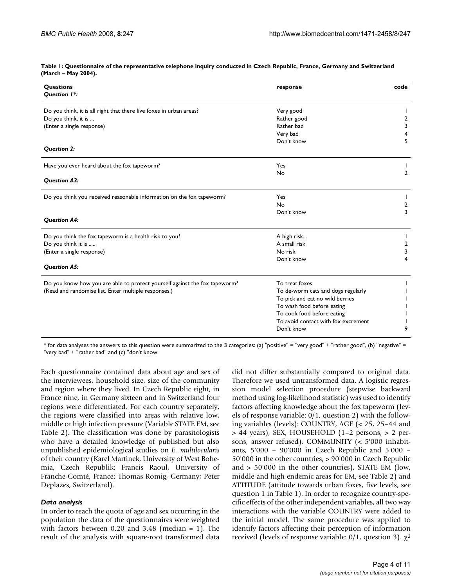| <b>Questions</b><br><b>Question 1*:</b>                                    | response                            | code           |
|----------------------------------------------------------------------------|-------------------------------------|----------------|
|                                                                            |                                     |                |
| Do you think, it is all right that there live foxes in urban areas?        | Very good                           |                |
| Do you think, it is                                                        | Rather good                         | 2              |
| (Enter a single response)                                                  | Rather bad                          | 3              |
|                                                                            | Very bad                            | 4              |
|                                                                            | Don't know                          | 5              |
| Question 2:                                                                |                                     |                |
| Have you ever heard about the fox tapeworm?                                | Yes                                 |                |
|                                                                            | No                                  | $\overline{2}$ |
| <b>Question A3:</b>                                                        |                                     |                |
| Do you think you received reasonable information on the fox tapeworm?      | Yes                                 |                |
|                                                                            | No                                  | 2              |
|                                                                            | Don't know                          | 3              |
| <b>Question A4:</b>                                                        |                                     |                |
| Do you think the fox tapeworm is a health risk to you?                     | A high risk                         |                |
| Do you think it is                                                         | A small risk                        | $\overline{2}$ |
| (Enter a single response)                                                  | No risk                             | 3              |
|                                                                            | Don't know                          | 4              |
| <b>Question A5:</b>                                                        |                                     |                |
| Do you know how you are able to protect yourself against the fox tapeworm? | To treat foxes                      |                |
| (Read and randomise list. Enter multiple responses.)                       | To de-worm cats and dogs regularly  |                |
|                                                                            | To pick and eat no wild berries     |                |
|                                                                            | To wash food before eating          |                |
|                                                                            | To cook food before eating          |                |
|                                                                            | To avoid contact with fox excrement |                |
|                                                                            | Don't know                          | 9              |

**Table 1: Questionnaire of the representative telephone inquiry conducted in Czech Republic, France, Germany and Switzerland (March – May 2004).**

\* for data analyses the answers to this question were summarized to the 3 categories: (a) "positive" = "very good" + "rather good", (b) "negative" = "very bad" + "rather bad" and (c) "don't know

Each questionnaire contained data about age and sex of the interviewees, household size, size of the community and region where they lived. In Czech Republic eight, in France nine, in Germany sixteen and in Switzerland four regions were differentiated. For each country separately, the regions were classified into areas with relative low, middle or high infection pressure (Variable STATE EM, see Table 2). The classification was done by parasitologists who have a detailed knowledge of published but also unpublished epidemiological studies on *E. multilocularis* of their country (Karel Martinek, University of West Bohemia, Czech Republik; Francis Raoul, University of Franche-Comté, France; Thomas Romig, Germany; Peter Deplazes, Switzerland).

#### *Data analysis*

In order to reach the quota of age and sex occurring in the population the data of the questionnaires were weighted with factors between 0.20 and 3.48 (median = 1). The result of the analysis with square-root transformed data

did not differ substantially compared to original data. Therefore we used untransformed data. A logistic regression model selection procedure (stepwise backward method using log-likelihood statistic) was used to identify factors affecting knowledge about the fox tapeworm (levels of response variable: 0/1, question 2) with the following variables (levels): COUNTRY, AGE (< 25, 25–44 and > 44 years), SEX, HOUSEHOLD (1–2 persons, > 2 persons, answer refused), COMMUNITY (< 5'000 inhabitants, 5'000 – 90'000 in Czech Republic and 5'000 – 50'000 in the other countries, > 90'000 in Czech Republic and > 50'000 in the other countries), STATE EM (low, middle and high endemic areas for EM, see Table 2) and ATTITUDE (attitude towards urban foxes, five levels, see question 1 in Table 1). In order to recognize country-specific effects of the other independent variables, all two way interactions with the variable COUNTRY were added to the initial model. The same procedure was applied to identify factors affecting their perception of information received (levels of response variable: 0/1, question 3).  $\chi^2$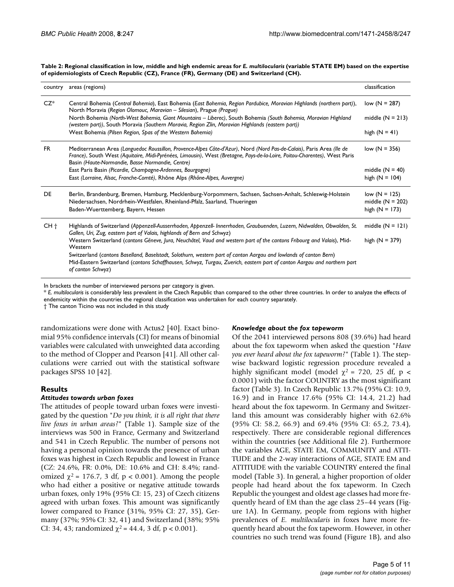Table 2: Regional classification in low, middle and high endemic areas for *E. multilocularis* (variable STATE EM) based on the expertise **of epidemiologists of Czech Republic (CZ), France (FR), Germany (DE) and Switzerland (CH).**

| country         | areas (regions)                                                                                                                                                                                                                                                                                       | classification     |
|-----------------|-------------------------------------------------------------------------------------------------------------------------------------------------------------------------------------------------------------------------------------------------------------------------------------------------------|--------------------|
| $CZ^*$          | Central Bohemia (Central Bohemia), East Bohemia (East Bohemia, Region Pardubice, Moravian Highlands (northern part)),<br>North Moravia (Region Olomouc, Maravian - Silesian), Prague (Prague)                                                                                                         | low $(N = 287)$    |
|                 | North Bohemia (North-West Bohemia, Giant Mountains - Liberec), South Bohemia (South Bohemia, Moravian Highland<br>(western part)), South Moravia (Southern Moravia, Region Zlin, Moravian Highlands (eastern part))                                                                                   | middle $(N = 213)$ |
|                 | West Bohemia (Pilsen Region, Spas of the Western Bohemia)                                                                                                                                                                                                                                             | high $(N = 41)$    |
| FR.             | Mediterranean Area (Languedoc Roussillon, Provence-Alpes Côte-d'Azur), Nord (Nord Pas-de-Calais), Paris Area (lle de<br>France), South West (Aquitaire, Midi-Pyrénées, Limousin), West (Bretagne, Pays-de-la-Loire, Poitou-Charentes), West Paris<br>Basin (Haute-Normandie, Basse Normandie, Centre) | low $(N = 356)$    |
|                 | East Paris Basin (Picardie, Champagne-Ardennes, Bourgogne)                                                                                                                                                                                                                                            | middle $(N = 40)$  |
|                 | East (Lorraine, Alsac, Franche-Comté), Rhône Alps (Rhône-Alpes, Auvergne)                                                                                                                                                                                                                             | high $(N = 104)$   |
| DE              | Berlin, Brandenburg, Bremen, Hamburg, Mecklenburg-Vorpommern, Sachsen, Sachsen-Anhalt, Schleswig-Holstein                                                                                                                                                                                             | $low (N = 125)$    |
|                 | Niedersachsen, Nordrhein-Westfalen, Rheinland-Pfalz, Saarland, Thueringen                                                                                                                                                                                                                             | middle $(N = 202)$ |
|                 | Baden-Wuerttemberg, Bayern, Hessen                                                                                                                                                                                                                                                                    | high $(N = 173)$   |
| CH <sub>†</sub> | Highlands of Switzerland (Appenzell-Ausserrhoden, Appenzell- Innerrhoden, Graubuenden, Luzern, Nidwalden, Obwalden, St.<br>Gallen, Uri, Zug, eastern part of Valais, highlands of Bern and Schwyz)                                                                                                    | middle $(N = 121)$ |
|                 | Western Switzerland (cantons Gêneve, Jura, Neuchâtel, Vaud and western part of the cantons Fribourg and Valais), Mid-<br>Western                                                                                                                                                                      | high $(N = 379)$   |
|                 | Switzerland (cantons Baselland, Baselstadt, Solothurn, western part of canton Aargau and lowlands of canton Bern)                                                                                                                                                                                     |                    |
|                 | Mid-Eastern Switzerland (cantons Schaffhausen, Schwyz, Turgau, Zuerich, eastern part of canton Aargau and northern part<br>of canton Schwyz)                                                                                                                                                          |                    |

In brackets the number of interviewed persons per category is given.

\* *E. multilocularis* is considerably less prevalent in the Czech Republic than compared to the other three countries. In order to analyze the effects of endemicity within the countries the regional classification was undertaken for each country separately.

† The canton Ticino was not included in this study

randomizations were done with Actus2 [40]. Exact binomial 95% confidence intervals (CI) for means of binomial variables were calculated with unweighted data according to the method of Clopper and Pearson [41]. All other calculations were carried out with the statistical software packages SPSS 10 [42].

# **Results**

# *Attitudes towards urban foxes*

The attitudes of people toward urban foxes were investigated by the question "*Do you think, it is all right that there live foxes in urban areas?*" (Table 1). Sample size of the interviews was 500 in France, Germany and Switzerland and 541 in Czech Republic. The number of persons not having a personal opinion towards the presence of urban foxes was highest in Czech Republic and lowest in France (CZ: 24.6%, FR: 0.0%, DE: 10.6% and CH: 8.4%; randomized  $\chi^2$  = 176.7, 3 df, p < 0.001). Among the people who had either a positive or negative attitude towards urban foxes, only 19% (95% CI: 15, 23) of Czech citizens agreed with urban foxes. This amount was significantly lower compared to France (31%, 95% CI: 27, 35), Germany (37%; 95% CI: 32, 41) and Switzerland (38%; 95% CI: 34, 43; randomized  $\chi^2$  = 44.4, 3 df, p < 0.001).

# *Knowledge about the fox tapeworm*

Of the 2041 interviewed persons 808 (39.6%) had heard about the fox tapeworm when asked the question "*Have you ever heard about the fox tapeworm?*" (Table 1). The stepwise backward logistic regression procedure revealed a highly significant model (model  $\chi^2$  = 720, 25 df, p < 0.0001) with the factor COUNTRY as the most significant factor (Table 3). In Czech Republic 13.7% (95% CI: 10.9, 16.9) and in France 17.6% (95% CI: 14.4, 21.2) had heard about the fox tapeworm. In Germany and Switzerland this amount was considerably higher with 62.6% (95% CI: 58.2, 66.9) and 69.4% (95% CI: 65.2, 73.4), respectively. There are considerable regional differences within the countries (see Additional file 2). Furthermore the variables AGE, STATE EM, COMMUNITY and ATTI-TUDE and the 2-way interactions of AGE, STATE EM and ATTITUDE with the variable COUNTRY entered the final model (Table 3). In general, a higher proportion of older people had heard about the fox tapeworm. In Czech Republic the youngest and oldest age classes had more frequently heard of EM than the age class 25–44 years (Figure 1A). In Germany, people from regions with higher prevalences of *E. multilocularis* in foxes have more frequently heard about the fox tapeworm. However, in other countries no such trend was found (Figure 1B), and also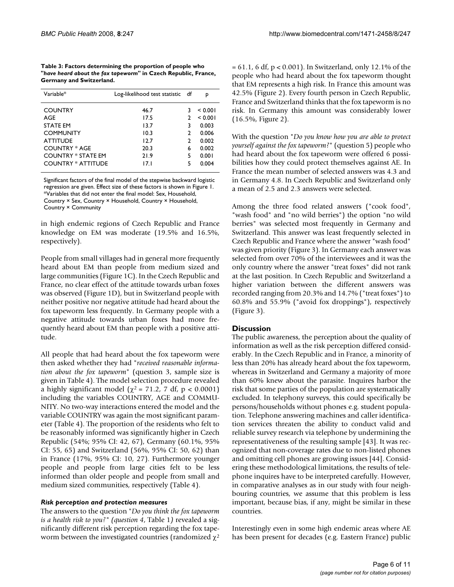**Table 3: Factors determining the proportion of people who "***have heard about the fax tapeworm***" in Czech Republic, France, Germany and Switzerland.**

| Variable*                 | Log-likelihood test statistic df |               | р       |
|---------------------------|----------------------------------|---------------|---------|
| <b>COUNTRY</b>            | 46.7                             | ٦             | < 0.001 |
| AGE                       | 17.5                             | $\mathcal{P}$ | < 0.001 |
| <b>STATE EM</b>           | 13.7                             | 3             | 0.003   |
| <b>COMMUNITY</b>          | 10.3                             | $\mathcal{P}$ | 0.006   |
| <b>ATTITUDE</b>           | 12.7                             | $\mathcal{P}$ | 0.002   |
| <b>COUNTRY * AGE</b>      | 20.3                             | 6             | 0.002   |
| <b>COUNTRY * STATE EM</b> | 21.9                             | 5             | 0.001   |
| COUNTRY * ATTITUDE        | 17.1                             | 5             | 0.004   |
|                           |                                  |               |         |

Significant factors of the final model of the stepwise backward logistic regression are given. Effect size of these factors is shown in Figure 1. \*Variables that did not enter the final model: Sex, Household, Country × Sex, Country × Household, Country × Household, Country × Community

in high endemic regions of Czech Republic and France knowledge on EM was moderate (19.5% and 16.5%, respectively).

People from small villages had in general more frequently heard about EM than people from medium sized and large communities (Figure 1C). In the Czech Republic and France, no clear effect of the attitude towards urban foxes was observed (Figure 1D), but in Switzerland people with neither positive nor negative attitude had heard about the fox tapeworm less frequently. In Germany people with a negative attitude towards urban foxes had more frequently heard about EM than people with a positive attitude.

All people that had heard about the fox tapeworm were then asked whether they had "*received reasonable information about the fox tapeworm*" (question 3, sample size is given in Table 4). The model selection procedure revealed a highly significant model ( $\chi^2$  = 71.2, 7 df, p < 0.0001) including the variables COUNTRY, AGE and COMMU-NITY. No two-way interactions entered the model and the variable COUNTRY was again the most significant parameter (Table 4). The proportion of the residents who felt to be reasonably informed was significantly higher in Czech Republic (54%; 95% CI: 42, 67), Germany (60.1%, 95% CI: 55, 65) and Switzerland (56%, 95% CI: 50, 62) than in France (17%, 95% CI: 10, 27). Furthermore younger people and people from large cities felt to be less informed than older people and people from small and medium sized communities, respectively (Table 4).

#### *Risk perception and protection measures*

The answers to the question "*Do you think the fox tapeworm is a health risk to you?" (question 4*, Table 1*)* revealed a significantly different risk perception regarding the fox tapeworm between the investigated countries (randomized  $\chi^2$  = 61.1, 6 df, p < 0.001). In Switzerland, only 12.1% of the people who had heard about the fox tapeworm thought that EM represents a high risk. In France this amount was 42.5% (Figure 2). Every fourth person in Czech Republic, France and Switzerland thinks that the fox tapeworm is no risk. In Germany this amount was considerably lower (16.5%, Figure 2).

With the question "*Do you know how you are able to protect yourself against the fox tapeworm?*" (question 5) people who had heard about the fox tapeworm were offered 6 possibilities how they could protect themselves against AE. In France the mean number of selected answers was 4.3 and in Germany 4.8. In Czech Republic and Switzerland only a mean of 2.5 and 2.3 answers were selected.

Among the three food related answers ("cook food", "wash food" and "no wild berries") the option "no wild berries" was selected most frequently in Germany and Switzerland. This answer was least frequently selected in Czech Republic and France where the answer "wash food" was given priority (Figure 3). In Germany each answer was selected from over 70% of the interviewees and it was the only country where the answer "treat foxes" did not rank at the last position. In Czech Republic and Switzerland a higher variation between the different answers was recorded ranging from 20.3% and 14.7% ("treat foxes") to 60.8% and 55.9% ("avoid fox droppings"), respectively (Figure 3).

#### **Discussion**

The public awareness, the perception about the quality of information as well as the risk perception differed considerably. In the Czech Republic and in France, a minority of less than 20% has already heard about the fox tapeworm, whereas in Switzerland and Germany a majority of more than 60% knew about the parasite. Inquires harbor the risk that some parties of the population are systematically excluded. In telephony surveys, this could specifically be persons/households without phones e.g. student population. Telephone answering machines and caller identification services threaten the ability to conduct valid and reliable survey research via telephone by undermining the representativeness of the resulting sample [43]. It was recognized that non-coverage rates due to non-listed phones and omitting cell phones are growing issues [44]. Considering these methodological limitations, the results of telephone inquires have to be interpreted carefully. However, in comparative analyses as in our study with four neighbouring countries, we assume that this problem is less important, because bias, if any, might be similar in these countries.

Interestingly even in some high endemic areas where AE has been present for decades (e.g. Eastern France) public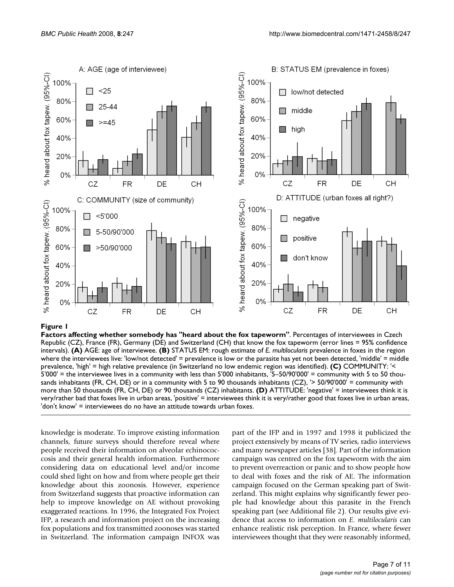

#### Figure 1

**Factors affecting whether somebody has "heard about the fox tapeworm"**. Percentages of interviewees in Czech Republic (CZ), France (FR), Germany (DE) and Switzerland (CH) that know the fox tapeworm (error lines = 95% confidence intervals). **(A)** AGE: age of interviewee. **(B)** STATUS EM: rough estimate of *E. multilocularis* prevalence in foxes in the region where the interviewees live: 'low/not detected' = prevalence is low or the parasite has yet not been detected, 'middle' = middle prevalence, 'high' = high relative prevalence (in Switzerland no low endemic region was identified). **(C)** COMMUNITY: '< 5'000' = the interviewee lives in a community with less than 5'000 inhabitants, '5–50/90'000' = community with 5 to 50 thousands inhabitants (FR, CH, DE) or in a community with 5 to 90 thousands inhabitants (CZ), '> 50/90'000' = community with more than 50 thousands (FR, CH, DE) or 90 thousands (CZ) inhabitants. **(D)** ATTITUDE: 'negative' = interviewees think it is very/rather bad that foxes live in urban areas, 'positive' = interviewees think it is very/rather good that foxes live in urban areas, 'don't know' = interviewees do no have an attitude towards urban foxes.

knowledge is moderate. To improve existing information channels, future surveys should therefore reveal where people received their information on alveolar echinococcosis and their general health information. Furthermore considering data on educational level and/or income could shed light on how and from where people get their knowledge about this zoonosis. However, experience from Switzerland suggests that proactive information can help to improve knowledge on AE without provoking exaggerated reactions. In 1996, the Integrated Fox Project IFP, a research and information project on the increasing fox populations and fox transmitted zoonoses was started in Switzerland. The information campaign INFOX was part of the IFP and in 1997 and 1998 it publicized the project extensively by means of TV series, radio interviews and many newspaper articles [38]. Part of the information campaign was centred on the fox tapeworm with the aim to prevent overreaction or panic and to show people how to deal with foxes and the risk of AE. The information campaign focused on the German speaking part of Switzerland. This might explains why significantly fewer people had knowledge about this parasite in the French speaking part (see Additional file 2). Our results give evidence that access to information on *E. multilocularis* can enhance realistic risk perception. In France, where fewer interviewees thought that they were reasonably informed,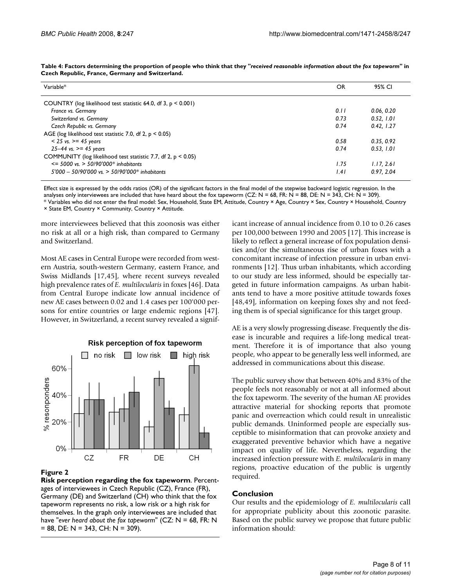| Variable*                                                        | OR   | 95% CI     |
|------------------------------------------------------------------|------|------------|
| COUNTRY (log likelihood test statistic 64.0, df 3, $p < 0.001$ ) |      |            |
| France vs. Germany                                               | 0.11 | 0.06, 0.20 |
| Switzerland vs. Germany                                          | 0.73 | 0.52, 1.01 |
| Czech Republic vs. Germany                                       | 0.74 | 0.42, 1.27 |
| AGE (log likelihood test statistic 7.0, df 2, $p < 0.05$ )       |      |            |
| $< 25$ vs. $>= 45$ years                                         | 0.58 | 0.35, 0.92 |
| $25 - 44$ vs. $>= 45$ years                                      | 0.74 | 0.53. 1.01 |
| COMMUNITY (log likelihood test statistic 7.7, df 2, $p < 0.05$ ) |      |            |
| $\epsilon$ = 5000 vs. > 50/90'000* inhabitants                   | 1.75 | 1.17.261   |
| $5'000 - 50/90'000$ vs. $> 50/90'000^*$ inhabitants              | I.41 | 0.97.2.04  |

**Table 4: Factors determining the proportion of people who think that they "***received reasonable information about the fox tapeworm***" in Czech Republic, France, Germany and Switzerland.**

Effect size is expressed by the odds ratios (OR) of the significant factors in the final model of the stepwise backward logistic regression. In the

analyses only interviewees are included that have heard about the fox tapeworm (CZ: N = 68, FR: N = 88, DE: N = 343, CH: N = 309).

\* Variables who did not enter the final model: Sex, Household, State EM, Attitude, Country × Age, Country × Sex, Country × Household, Country × State EM, Country × Community, Country × Attitude.

more interviewees believed that this zoonosis was either no risk at all or a high risk, than compared to Germany and Switzerland.

Most AE cases in Central Europe were recorded from western Austria, south-western Germany, eastern France, and Swiss Midlands [17,45], where recent surveys revealed high prevalence rates of *E. multilocularis* in foxes [46]. Data from Central Europe indicate low annual incidence of new AE cases between 0.02 and 1.4 cases per 100'000 persons for entire countries or large endemic regions [47]. However, in Switzerland, a recent survey revealed a signif-



# Risk perception of fox tapeworm

#### **Figure 2**

**Risk perception regarding the fox tapeworm**. Percentages of interviewees in Czech Republic (CZ), France (FR), Germany (DE) and Switzerland (CH) who think that the fox tapeworm represents no risk, a low risk or a high risk for themselves. In the graph only interviewees are included that have "*ever heard about the fox tapeworm*" (CZ: N = 68, FR: N  $= 88$ , DE: N = 343, CH: N = 309).

icant increase of annual incidence from 0.10 to 0.26 cases per 100,000 between 1990 and 2005 [17]. This increase is likely to reflect a general increase of fox population densities and/or the simultaneous rise of urban foxes with a concomitant increase of infection pressure in urban environments [12]. Thus urban inhabitants, which according to our study are less informed, should be especially targeted in future information campaigns. As urban habitants tend to have a more positive attitude towards foxes [48,49], information on keeping foxes shy and not feeding them is of special significance for this target group.

AE is a very slowly progressing disease. Frequently the disease is incurable and requires a life-long medical treatment. Therefore it is of importance that also young people, who appear to be generally less well informed, are addressed in communications about this disease.

The public survey show that between 40% and 83% of the people feels not reasonably or not at all informed about the fox tapeworm. The severity of the human AE provides attractive material for shocking reports that promote panic and overreaction which could result in unrealistic public demands. Uninformed people are especially susceptible to misinformation that can provoke anxiety and exaggerated preventive behavior which have a negative impact on quality of life. Nevertheless, regarding the increased infection pressure with *E. multilocularis* in many regions, proactive education of the public is urgently required.

# **Conclusion**

Our results and the epidemiology of *E. multilocularis* call for appropriate publicity about this zoonotic parasite. Based on the public survey we propose that future public information should: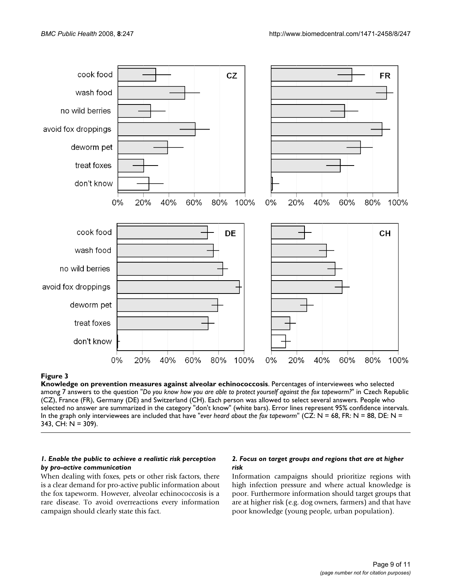

# Figure 3

**Knowledge on prevention measures against alveolar echinococcosis**. Percentages of interviewees who selected among 7 answers to the question "*Do you know how you are able to protect yourself against the fox tapeworm?*" in Czech Republic (CZ), France (FR), Germany (DE) and Switzerland (CH). Each person was allowed to select several answers. People who selected no answer are summarized in the category "don't know" (white bars). Error lines represent 95% confidence intervals. In the graph only interviewees are included that have "*ever heard about the fox tapeworm*" (CZ: N = 68, FR: N = 88, DE: N = 343, CH: N = 309).

### *1. Enable the public to achieve a realistic risk perception by pro-active communication*

When dealing with foxes, pets or other risk factors, there is a clear demand for pro-active public information about the fox tapeworm. However, alveolar echinococcosis is a rare disease. To avoid overreactions every information campaign should clearly state this fact.

# *2. Focus on target groups and regions that are at higher risk*

Information campaigns should prioritize regions with high infection pressure and where actual knowledge is poor. Furthermore information should target groups that are at higher risk (e.g. dog owners, farmers) and that have poor knowledge (young people, urban population).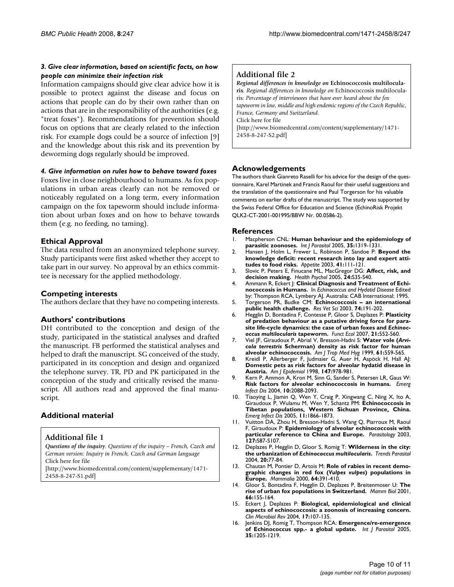#### *3. Give clear information, based on scientific facts, on how people can minimize their infection risk*

Information campaigns should give clear advice how it is possible to protect against the disease and focus on actions that people can do by their own rather than on actions that are in the responsibility of the authorities (e.g. "treat foxes"). Recommendations for prevention should focus on options that are clearly related to the infection risk. For example dogs could be a source of infection [9] and the knowledge about this risk and its prevention by deworming dogs regularly should be improved.

#### *4. Give information on rules how to behave toward foxes*

Foxes live in close neighbourhood to humans. As fox populations in urban areas clearly can not be removed or noticeably regulated on a long term, every information campaign on the fox tapeworm should include information about urban foxes and on how to behave towards them (e.g. no feeding, no taming).

#### **Ethical Approval**

The data resulted from an anonymized telephone survey. Study participants were first asked whether they accept to take part in our survey. No approval by an ethics committee is necessary for the applied methodology.

#### **Competing interests**

The authors declare that they have no competing interests.

#### **Authors' contributions**

DH contributed to the conception and design of the study, participated in the statistical analyses and drafted the manuscript. FB performed the statistical analyses and helped to draft the manuscript. SG conceived of the study, participated in its conception and design and organized the telephone survey. TR, PD and PK participated in the conception of the study and critically revised the manuscript. All authors read and approved the final manuscript.

#### **Additional material**

#### **Additional file 1**

*Questions of the inquiry. Questions of the inquiry – French, Czech and German version: Inquiry in French, Czech and German language* Click here for file [\[http://www.biomedcentral.com/content/supplementary/1471-](http://www.biomedcentral.com/content/supplementary/1471-2458-8-247-S1.pdf)

2458-8-247-S1.pdf]

# **Additional file 2**

*Regional differences in knowledge on* **Echinococcosis multilocularis***. Regional differences in knowledge on* Echinococcosis multilocularis*: Percentage of interviewees that have ever heard about the fox tapeworm in low, middle and high endemic regions of the Czech Republic, France, Germany and Switzerland.* Click here for file [\[http://www.biomedcentral.com/content/supplementary/1471-](http://www.biomedcentral.com/content/supplementary/1471-2458-8-247-S2.pdf) 2458-8-247-S2.pdf]

#### **Acknowledgements**

The authors thank Gianreto Raselli for his advice for the design of the questionnaire, Karel Martinek and Francis Raoul for their useful suggestions and the translation of the questionnaire and Paul Torgerson for his valuable comments on earlier drafts of the manuscript. The study was supported by the Swiss Federal Office for Education and Science (EchinoRisk Projekt QLK2-CT-2001-001995/BBW Nr. 00.0586-2).

#### **References**

- 1. Macpherson CNL: **[Human behaviour and the epidemiology of](http://www.ncbi.nlm.nih.gov/entrez/query.fcgi?cmd=Retrieve&db=PubMed&dopt=Abstract&list_uids=16102769) [parasitic zoonoses.](http://www.ncbi.nlm.nih.gov/entrez/query.fcgi?cmd=Retrieve&db=PubMed&dopt=Abstract&list_uids=16102769)** *Int J Parasitol* 2005, **35:**1319-1331.
- 2. Hansen J, Holm L, Frewer L, Robinson P, Sandoe P: **[Beyond the](http://www.ncbi.nlm.nih.gov/entrez/query.fcgi?cmd=Retrieve&db=PubMed&dopt=Abstract&list_uids=14550309) [knowledge deficit: recent research into lay and expert atti](http://www.ncbi.nlm.nih.gov/entrez/query.fcgi?cmd=Retrieve&db=PubMed&dopt=Abstract&list_uids=14550309)[tudes to food risks.](http://www.ncbi.nlm.nih.gov/entrez/query.fcgi?cmd=Retrieve&db=PubMed&dopt=Abstract&list_uids=14550309)** *Appetite* 2003, **41:**111-121.
- 3. Slovic P, Peters E, Finucane ML, MacGregor DG: **[Affect, risk, and](http://www.ncbi.nlm.nih.gov/entrez/query.fcgi?cmd=Retrieve&db=PubMed&dopt=Abstract&list_uids=16045417) [decision making.](http://www.ncbi.nlm.nih.gov/entrez/query.fcgi?cmd=Retrieve&db=PubMed&dopt=Abstract&list_uids=16045417)** *Health Psychol* 2005, **24:**S35-S40.
- 4. Ammann R, Eckert J: **Clinical Diagnosis and Treatment of Echinococcosis in Humans.** In *Echinococcus and Hydatid Disease* Edited by: Thompson RCA, Lymbery AJ. Australia: CAB International; 1995.
- 5. Torgerson PR, Budke CM: **[Echinococcosis an international](http://www.ncbi.nlm.nih.gov/entrez/query.fcgi?cmd=Retrieve&db=PubMed&dopt=Abstract&list_uids=12726737) [public health challenge.](http://www.ncbi.nlm.nih.gov/entrez/query.fcgi?cmd=Retrieve&db=PubMed&dopt=Abstract&list_uids=12726737)** *Res Vet Sci* 2003, **74:**191-202.
- 6. Hegglin D, Bontadina F, Contesse P, Gloor S, Deplazes P: **Plasticity of predation behaviour as a putative driving force for parasite life-cycle dynamics: the case of urban foxes and** *Echinococcus multilocularis* **tapeworm.** *Funct Ecol* 2007, **21:**552-560.
- <span id="page-9-0"></span>7. Viel JF, Giraudoux P, Abrial V, Bresson-Hadni S: **Water vole (***Arvicola terrestris* **[Scherman\) density as risk factor for human](http://www.ncbi.nlm.nih.gov/entrez/query.fcgi?cmd=Retrieve&db=PubMed&dopt=Abstract&list_uids=10548289) [alveolar echinococcosis.](http://www.ncbi.nlm.nih.gov/entrez/query.fcgi?cmd=Retrieve&db=PubMed&dopt=Abstract&list_uids=10548289)** *Am J Trop Med Hyg* 1999, **61:**559-565.
- 8. Kreidl P, Allerberger F, Judmaier G, Auer H, Aspöck H, Hall AJ: **[Domestic pets as risk factors for alveolar hydatid disease in](http://www.ncbi.nlm.nih.gov/entrez/query.fcgi?cmd=Retrieve&db=PubMed&dopt=Abstract&list_uids=9596476) [Austria.](http://www.ncbi.nlm.nih.gov/entrez/query.fcgi?cmd=Retrieve&db=PubMed&dopt=Abstract&list_uids=9596476)** *Am J Epidemiol* 1998, **147:**978-981.
- 9. Kern P, Ammon A, Kron M, Sinn G, Sander S, Petersen LR, Gaus W: **[Risk factors for alveolar echinococcosis in humans.](http://www.ncbi.nlm.nih.gov/entrez/query.fcgi?cmd=Retrieve&db=PubMed&dopt=Abstract&list_uids=15663843)** *Emerg Infect Dis* 2004, **10:**2088-2093.
- 10. Tiaoying L, Jiamin Q, Wen Y, Craig P, Xingwang C, Ning X, Ito A, Giraudoux P, Wulamu M, Wen Y, Schantz PM: **[Echinococcosis in](http://www.ncbi.nlm.nih.gov/entrez/query.fcgi?cmd=Retrieve&db=PubMed&dopt=Abstract&list_uids=16485472) [Tibetan populations, Western Sichuan Province, China.](http://www.ncbi.nlm.nih.gov/entrez/query.fcgi?cmd=Retrieve&db=PubMed&dopt=Abstract&list_uids=16485472)** *Emerg Infect Dis* 2005, **11:**1866-1873.
- 11. Vuitton DA, Zhou H, Bresson-Hadni S, Wang Q, Piarroux M, Raoul F, Giraudoux P: **[Epidemiology of alveolar echinococcosis with](http://www.ncbi.nlm.nih.gov/entrez/query.fcgi?cmd=Retrieve&db=PubMed&dopt=Abstract&list_uids=15027607) [particular reference to China and Europe.](http://www.ncbi.nlm.nih.gov/entrez/query.fcgi?cmd=Retrieve&db=PubMed&dopt=Abstract&list_uids=15027607)** *Parasitology* 2003, **127:**S87-S107.
- 12. Deplazes P, Hegglin D, Gloor S, Romig T: **Wilderness in the city: the urbanization of** *Echinococcus multilocularis***[.](http://www.ncbi.nlm.nih.gov/entrez/query.fcgi?cmd=Retrieve&db=PubMed&dopt=Abstract&list_uids=14747021)** *Trends Parasitol* 2004, **20:**77-84.
- 13. Chautan M, Pontier D, Artois M: **Role of rabies in recent demographic changes in red fox (***Vulpes vulpes***) populations in Europe.** *Mammalia* 2000, **64:**391-410.
- 14. Gloor S, Bontadina F, Hegglin D, Deplazes P, Breitenmoser U: **The rise of urban fox populations in Switzerland.** *Mamm Biol* 2001, **66:**155-164.
- 15. Eckert J, Deplazes P: **[Biological, epidemiological and clinical](http://www.ncbi.nlm.nih.gov/entrez/query.fcgi?cmd=Retrieve&db=PubMed&dopt=Abstract&list_uids=14726458) [aspects of echinococcosis: a zoonosis of increasing concern.](http://www.ncbi.nlm.nih.gov/entrez/query.fcgi?cmd=Retrieve&db=PubMed&dopt=Abstract&list_uids=14726458)** *Clin Microbiol Rev* 2004, **17:**107-135.
- 16. Jenkins DJ, Romig T, Thompson RCA: **[Emergence/re-emergence](http://www.ncbi.nlm.nih.gov/entrez/query.fcgi?cmd=Retrieve&db=PubMed&dopt=Abstract&list_uids=16157340) [of Echinococcus spp.- a global update.](http://www.ncbi.nlm.nih.gov/entrez/query.fcgi?cmd=Retrieve&db=PubMed&dopt=Abstract&list_uids=16157340)** *Int J Parasitol* 2005, **35:**1205-1219.